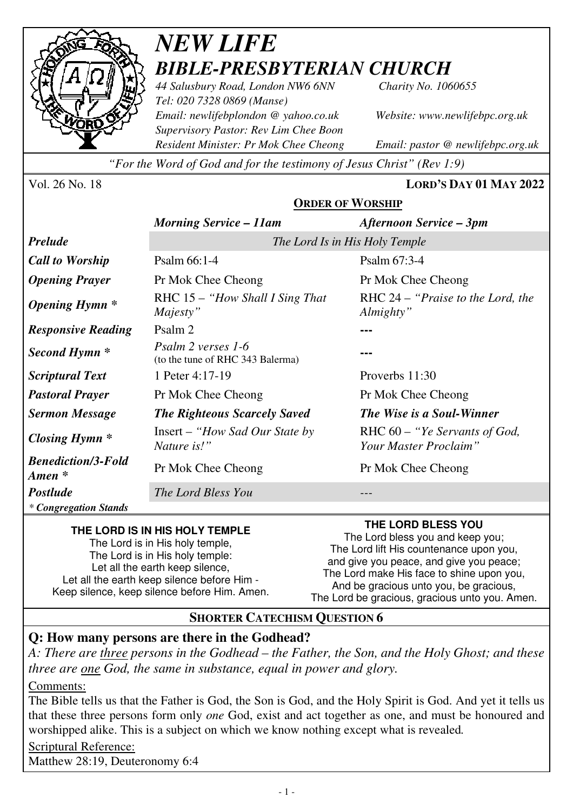

## *NEW LIFE BIBLE-PRESBYTERIAN CHURCH*

*44 Salusbury Road, London NW6 6NN Charity No. 1060655 Tel: 020 7328 0869 (Manse) Email: newlifebplondon @ yahoo.co.uk Website: www.newlifebpc.org.uk Supervisory Pastor: Rev Lim Chee Boon Resident Minister: Pr Mok Chee Cheong Email: pastor @ newlifebpc.org.uk* 

*"For the Word of God and for the testimony of Jesus Christ" (Rev 1:9)*

Vol. 26 No. 18 **LORD'S DAY 01 MAY 2022**

#### **ORDER OF WORSHIP**

|                                                 | <b>Morning Service - 11am</b>                          | <b>Afternoon Service – 3pm</b>                           |  |
|-------------------------------------------------|--------------------------------------------------------|----------------------------------------------------------|--|
| <b>Prelude</b>                                  | The Lord Is in His Holy Temple                         |                                                          |  |
| <b>Call to Worship</b>                          | Psalm 66:1-4                                           | Psalm 67:3-4                                             |  |
| <b>Opening Prayer</b>                           | Pr Mok Chee Cheong                                     | Pr Mok Chee Cheong                                       |  |
| <b>Opening Hymn</b> *                           | RHC $15 -$ "How Shall I Sing That"<br>Majesty"         | RHC 24 – "Praise to the Lord, the<br>Almighty"           |  |
| <b>Responsive Reading</b>                       | Psalm 2                                                |                                                          |  |
| Second Hymn *                                   | Psalm 2 verses 1-6<br>(to the tune of RHC 343 Balerma) |                                                          |  |
| <b>Scriptural Text</b>                          | 1 Peter 4:17-19                                        | Proverbs $11:30$                                         |  |
| <b>Pastoral Prayer</b>                          | Pr Mok Chee Cheong                                     | Pr Mok Chee Cheong                                       |  |
| <b>Sermon Message</b>                           | <b>The Righteous Scarcely Saved</b>                    | The Wise is a Soul-Winner                                |  |
| <b>Closing Hymn</b> *                           | $Insert - "How Sad Our State by$<br>Nature is!"        | RHC $60 -$ "Ye Servants of God,<br>Your Master Proclaim" |  |
| <b>Benediction/3-Fold</b><br>$A$ <i>men</i> $*$ | Pr Mok Chee Cheong                                     | Pr Mok Chee Cheong                                       |  |
| <b>Postlude</b>                                 | The Lord Bless You                                     |                                                          |  |
| * Congregation Stands                           |                                                        |                                                          |  |

#### **THE LORD IS IN HIS HOLY TEMPLE**

The Lord is in His holy temple, The Lord is in His holy temple: Let all the earth keep silence. Let all the earth keep silence before Him - Keep silence, keep silence before Him. Amen. **THE LORD BLESS YOU** 

The Lord bless you and keep you; The Lord lift His countenance upon you, and give you peace, and give you peace; The Lord make His face to shine upon you, And be gracious unto you, be gracious, The Lord be gracious, gracious unto you. Amen.

#### **SHORTER CATECHISM QUESTION 6**

#### **Q: How many persons are there in the Godhead?**

*A: There are three persons in the Godhead – the Father, the Son, and the Holy Ghost; and these three are one God, the same in substance, equal in power and glory.* 

Comments:

The Bible tells us that the Father is God, the Son is God, and the Holy Spirit is God. And yet it tells us that these three persons form only *one* God, exist and act together as one, and must be honoured and worshipped alike. This is a subject on which we know nothing except what is revealed*.*

Scriptural Reference:

Matthew 28:19, Deuteronomy 6:4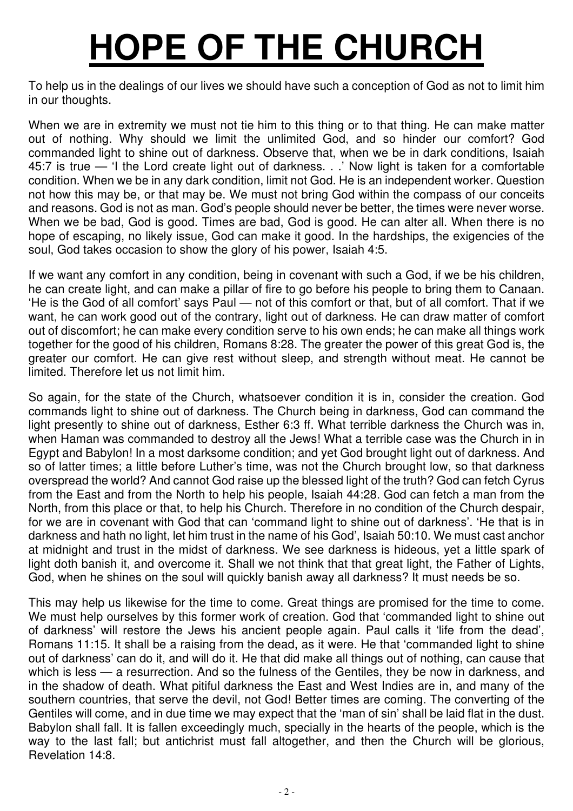# **HOPE OF THE CHURCH**

To help us in the dealings of our lives we should have such a conception of God as not to limit him in our thoughts.

When we are in extremity we must not tie him to this thing or to that thing. He can make matter out of nothing. Why should we limit the unlimited God, and so hinder our comfort? God commanded light to shine out of darkness. Observe that, when we be in dark conditions, Isaiah 45:7 is true — 'I the Lord create light out of darkness. . .' Now light is taken for a comfortable condition. When we be in any dark condition, limit not God. He is an independent worker. Question not how this may be, or that may be. We must not bring God within the compass of our conceits and reasons. God is not as man. God's people should never be better, the times were never worse. When we be bad, God is good. Times are bad, God is good. He can alter all. When there is no hope of escaping, no likely issue, God can make it good. In the hardships, the exigencies of the soul, God takes occasion to show the glory of his power, Isaiah 4:5.

If we want any comfort in any condition, being in covenant with such a God, if we be his children, he can create light, and can make a pillar of fire to go before his people to bring them to Canaan. 'He is the God of all comfort' says Paul — not of this comfort or that, but of all comfort. That if we want, he can work good out of the contrary, light out of darkness. He can draw matter of comfort out of discomfort; he can make every condition serve to his own ends; he can make all things work together for the good of his children, Romans 8:28. The greater the power of this great God is, the greater our comfort. He can give rest without sleep, and strength without meat. He cannot be limited. Therefore let us not limit him.

So again, for the state of the Church, whatsoever condition it is in, consider the creation. God commands light to shine out of darkness. The Church being in darkness, God can command the light presently to shine out of darkness, Esther 6:3 ff. What terrible darkness the Church was in, when Haman was commanded to destroy all the Jews! What a terrible case was the Church in in Egypt and Babylon! In a most darksome condition; and yet God brought light out of darkness. And so of latter times; a little before Luther's time, was not the Church brought low, so that darkness overspread the world? And cannot God raise up the blessed light of the truth? God can fetch Cyrus from the East and from the North to help his people, Isaiah 44:28. God can fetch a man from the North, from this place or that, to help his Church. Therefore in no condition of the Church despair, for we are in covenant with God that can 'command light to shine out of darkness'. 'He that is in darkness and hath no light, let him trust in the name of his God', Isaiah 50:10. We must cast anchor at midnight and trust in the midst of darkness. We see darkness is hideous, yet a little spark of light doth banish it, and overcome it. Shall we not think that that great light, the Father of Lights, God, when he shines on the soul will quickly banish away all darkness? It must needs be so.

This may help us likewise for the time to come. Great things are promised for the time to come. We must help ourselves by this former work of creation. God that 'commanded light to shine out of darkness' will restore the Jews his ancient people again. Paul calls it 'life from the dead', Romans 11:15. It shall be a raising from the dead, as it were. He that 'commanded light to shine out of darkness' can do it, and will do it. He that did make all things out of nothing, can cause that which is less — a resurrection. And so the fulness of the Gentiles, they be now in darkness, and in the shadow of death. What pitiful darkness the East and West Indies are in, and many of the southern countries, that serve the devil, not God! Better times are coming. The converting of the Gentiles will come, and in due time we may expect that the 'man of sin' shall be laid flat in the dust. Babylon shall fall. It is fallen exceedingly much, specially in the hearts of the people, which is the way to the last fall; but antichrist must fall altogether, and then the Church will be glorious, Revelation 14:8.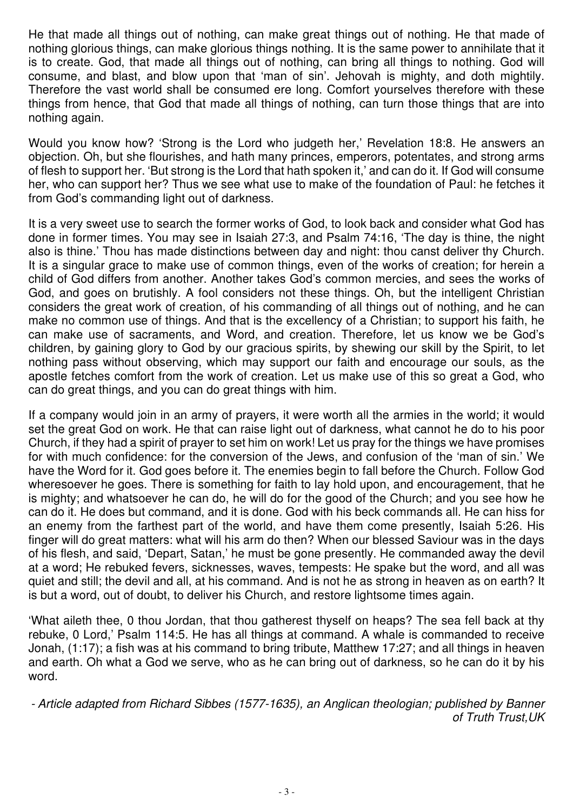He that made all things out of nothing, can make great things out of nothing. He that made of nothing glorious things, can make glorious things nothing. It is the same power to annihilate that it is to create. God, that made all things out of nothing, can bring all things to nothing. God will consume, and blast, and blow upon that 'man of sin'. Jehovah is mighty, and doth mightily. Therefore the vast world shall be consumed ere long. Comfort yourselves therefore with these things from hence, that God that made all things of nothing, can turn those things that are into nothing again.

Would you know how? 'Strong is the Lord who judgeth her,' Revelation 18:8. He answers an objection. Oh, but she flourishes, and hath many princes, emperors, potentates, and strong arms of flesh to support her. 'But strong is the Lord that hath spoken it,' and can do it. If God will consume her, who can support her? Thus we see what use to make of the foundation of Paul: he fetches it from God's commanding light out of darkness.

It is a very sweet use to search the former works of God, to look back and consider what God has done in former times. You may see in Isaiah 27:3, and Psalm 74:16, 'The day is thine, the night also is thine.' Thou has made distinctions between day and night: thou canst deliver thy Church. It is a singular grace to make use of common things, even of the works of creation; for herein a child of God differs from another. Another takes God's common mercies, and sees the works of God, and goes on brutishly. A fool considers not these things. Oh, but the intelligent Christian considers the great work of creation, of his commanding of all things out of nothing, and he can make no common use of things. And that is the excellency of a Christian; to support his faith, he can make use of sacraments, and Word, and creation. Therefore, let us know we be God's children, by gaining glory to God by our gracious spirits, by shewing our skill by the Spirit, to let nothing pass without observing, which may support our faith and encourage our souls, as the apostle fetches comfort from the work of creation. Let us make use of this so great a God, who can do great things, and you can do great things with him.

If a company would join in an army of prayers, it were worth all the armies in the world; it would set the great God on work. He that can raise light out of darkness, what cannot he do to his poor Church, if they had a spirit of prayer to set him on work! Let us pray for the things we have promises for with much confidence: for the conversion of the Jews, and confusion of the 'man of sin.' We have the Word for it. God goes before it. The enemies begin to fall before the Church. Follow God wheresoever he goes. There is something for faith to lay hold upon, and encouragement, that he is mighty; and whatsoever he can do, he will do for the good of the Church; and you see how he can do it. He does but command, and it is done. God with his beck commands all. He can hiss for an enemy from the farthest part of the world, and have them come presently, Isaiah 5:26. His finger will do great matters: what will his arm do then? When our blessed Saviour was in the days of his flesh, and said, 'Depart, Satan,' he must be gone presently. He commanded away the devil at a word; He rebuked fevers, sicknesses, waves, tempests: He spake but the word, and all was quiet and still; the devil and all, at his command. And is not he as strong in heaven as on earth? It is but a word, out of doubt, to deliver his Church, and restore lightsome times again.

'What aileth thee, 0 thou Jordan, that thou gatherest thyself on heaps? The sea fell back at thy rebuke, 0 Lord,' Psalm 114:5. He has all things at command. A whale is commanded to receive Jonah, (1:17); a fish was at his command to bring tribute, Matthew 17:27; and all things in heaven and earth. Oh what a God we serve, who as he can bring out of darkness, so he can do it by his word.

- Article adapted from Richard Sibbes (1577-1635), an Anglican theologian; published by Banner of Truth Trust,UK